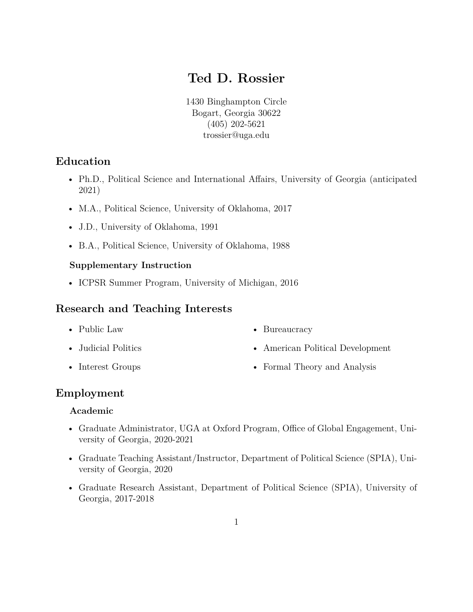# **Ted D. Rossier**

1430 Binghampton Circle Bogart, Georgia 30622 (405) 202-5621 trossier@uga.edu

### **Education**

- Ph.D., Political Science and International Affairs, University of Georgia (anticipated 2021)
- M.A., Political Science, University of Oklahoma, 2017
- J.D., University of Oklahoma, 1991
- B.A., Political Science, University of Oklahoma, 1988

### **Supplementary Instruction**

• ICPSR Summer Program, University of Michigan, 2016

### **Research and Teaching Interests**

- Public Law
- Judicial Politics
- Interest Groups
- Bureaucracy
- American Political Development
- Formal Theory and Analysis

### **Employment**

### **Academic**

- Graduate Administrator, UGA at Oxford Program, Office of Global Engagement, University of Georgia, 2020-2021
- Graduate Teaching Assistant/Instructor, Department of Political Science (SPIA), University of Georgia, 2020
- Graduate Research Assistant, Department of Political Science (SPIA), University of Georgia, 2017-2018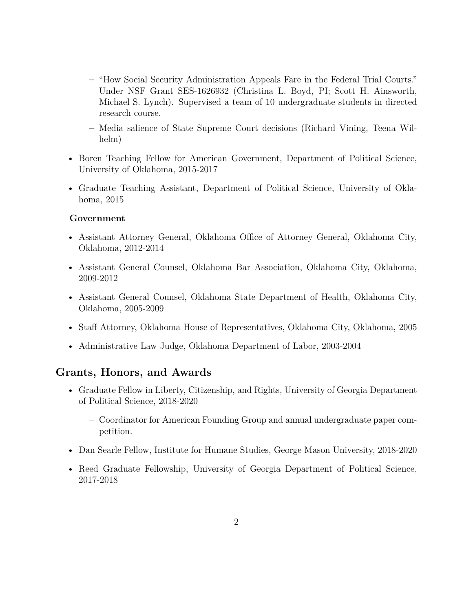- **–** "How Social Security Administration Appeals Fare in the Federal Trial Courts." Under NSF Grant SES-1626932 (Christina L. Boyd, PI; Scott H. Ainsworth, Michael S. Lynch). Supervised a team of 10 undergraduate students in directed research course.
- **–** Media salience of State Supreme Court decisions (Richard Vining, Teena Wilhelm)
- Boren Teaching Fellow for American Government, Department of Political Science, University of Oklahoma, 2015-2017
- Graduate Teaching Assistant, Department of Political Science, University of Oklahoma, 2015

#### **Government**

- Assistant Attorney General, Oklahoma Office of Attorney General, Oklahoma City, Oklahoma, 2012-2014
- Assistant General Counsel, Oklahoma Bar Association, Oklahoma City, Oklahoma, 2009-2012
- Assistant General Counsel, Oklahoma State Department of Health, Oklahoma City, Oklahoma, 2005-2009
- Staff Attorney, Oklahoma House of Representatives, Oklahoma City, Oklahoma, 2005
- Administrative Law Judge, Oklahoma Department of Labor, 2003-2004

### **Grants, Honors, and Awards**

- Graduate Fellow in Liberty, Citizenship, and Rights, University of Georgia Department of Political Science, 2018-2020
	- **–** Coordinator for American Founding Group and annual undergraduate paper competition.
- Dan Searle Fellow, Institute for Humane Studies, George Mason University, 2018-2020
- Reed Graduate Fellowship, University of Georgia Department of Political Science, 2017-2018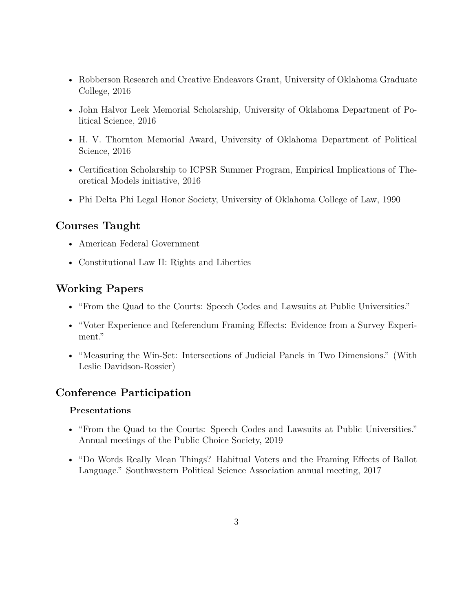- Robberson Research and Creative Endeavors Grant, University of Oklahoma Graduate College, 2016
- John Halvor Leek Memorial Scholarship, University of Oklahoma Department of Political Science, 2016
- H. V. Thornton Memorial Award, University of Oklahoma Department of Political Science, 2016
- Certification Scholarship to ICPSR Summer Program, Empirical Implications of Theoretical Models initiative, 2016
- Phi Delta Phi Legal Honor Society, University of Oklahoma College of Law, 1990

## **Courses Taught**

- American Federal Government
- Constitutional Law II: Rights and Liberties

## **Working Papers**

- "From the Quad to the Courts: Speech Codes and Lawsuits at Public Universities."
- "Voter Experience and Referendum Framing Effects: Evidence from a Survey Experiment."
- "Measuring the Win-Set: Intersections of Judicial Panels in Two Dimensions." (With Leslie Davidson-Rossier)

## **Conference Participation**

### **Presentations**

- "From the Quad to the Courts: Speech Codes and Lawsuits at Public Universities." Annual meetings of the Public Choice Society, 2019
- "Do Words Really Mean Things? Habitual Voters and the Framing Effects of Ballot Language." Southwestern Political Science Association annual meeting, 2017